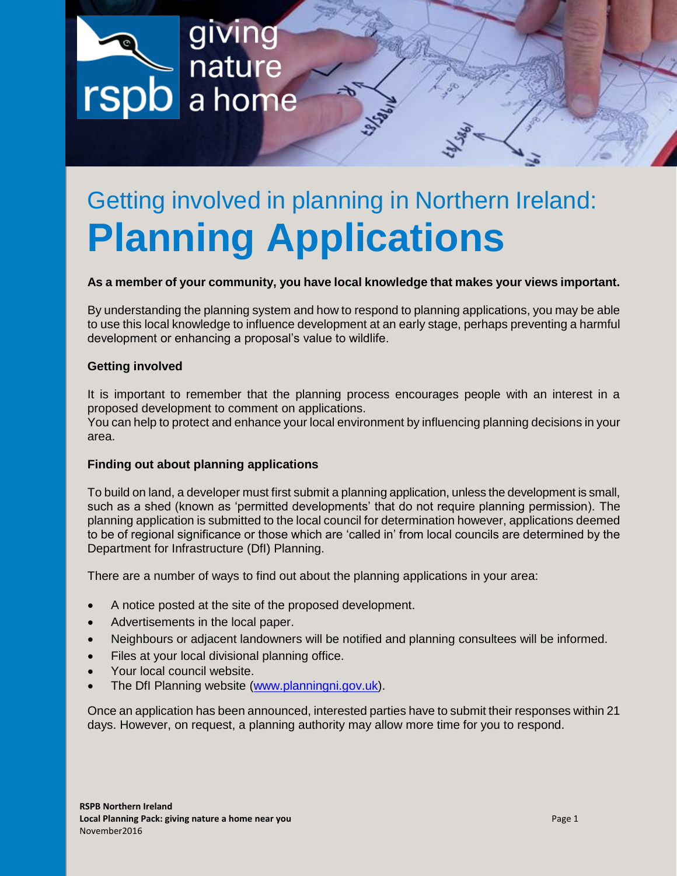giving nature a home

# Getting involved in planning in Northern Ireland: **Planning Applications**

# **As a member of your community, you have local knowledge that makes your views important.**

By understanding the planning system and how to respond to planning applications, you may be able to use this local knowledge to influence development at an early stage, perhaps preventing a harmful development or enhancing a proposal's value to wildlife.

#### **Getting involved**

It is important to remember that the planning process encourages people with an interest in a proposed development to comment on applications.

You can help to protect and enhance your local environment by influencing planning decisions in your area.

# **Finding out about planning applications**

To build on land, a developer must first submit a planning application, unless the development is small, such as a shed (known as 'permitted developments' that do not require planning permission). The planning application is submitted to the local council for determination however, applications deemed to be of regional significance or those which are 'called in' from local councils are determined by the Department for Infrastructure (DfI) Planning.

There are a number of ways to find out about the planning applications in your area:

- A notice posted at the site of the proposed development.
- Advertisements in the local paper.
- Neighbours or adjacent landowners will be notified and planning consultees will be informed.
- Files at your local divisional planning office.
- Your local council website.
- The DfI Planning website [\(www.planningni.gov.uk\)](http://www.planningni.gov.uk/).

Once an application has been announced, interested parties have to submit their responses within 21 days. However, on request, a planning authority may allow more time for you to respond.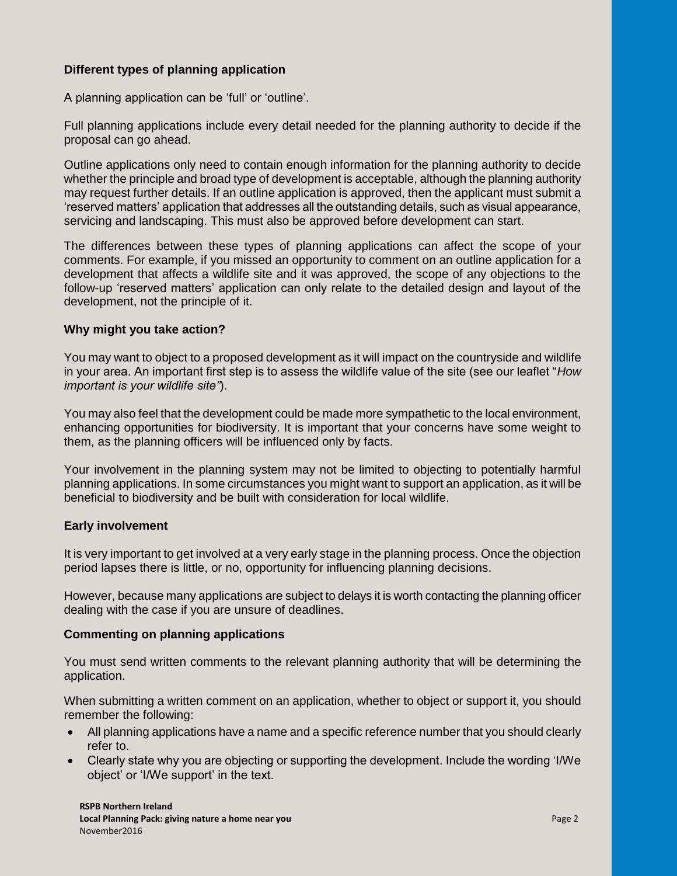# **Different types of planning application**

A planning application can be 'full' or 'outline'.

Full planning applications include every detail needed for the planning authority to decide if the proposal can go ahead.

Outline applications only need to contain enough information for the planning authority to decide whether the principle and broad type of development is acceptable, although the planning authority may request further details. If an outline application is approved, then the applicant must submit a 'reserved matters' application that addresses all the outstanding details, such as visual appearance, servicing and landscaping. This must also be approved before development can start.

The differences between these types of planning applications can affect the scope of your comments. For example, if you missed an opportunity to comment on an outline application for a development that affects a wildlife site and it was approved, the scope of any objections to the follow-up 'reserved matters' application can only relate to the detailed design and layout of the development, not the principle of it.

# **Why might you take action?**

You may want to object to a proposed development as it will impact on the countryside and wildlife in your area. An important first step is to assess the wildlife value of the site (see our leaflet "*How important is your wildlife site"*).

You may also feel that the development could be made more sympathetic to the local environment, enhancing opportunities for biodiversity. It is important that your concerns have some weight to them, as the planning officers will be influenced only by facts.

Your involvement in the planning system may not be limited to objecting to potentially harmful planning applications. In some circumstances you might want to support an application, as it will be beneficial to biodiversity and be built with consideration for local wildlife.

# **Early involvement**

It is very important to get involved at a very early stage in the planning process. Once the objection period lapses there is little, or no, opportunity for influencing planning decisions.

However, because many applications are subject to delays it is worth contacting the planning officer dealing with the case if you are unsure of deadlines.

# **Commenting on planning applications**

You must send written comments to the relevant planning authority that will be determining the application.

When submitting a written comment on an application, whether to object or support it, you should remember the following:

- All planning applications have a name and a specific reference number that you should clearly refer to.
- Clearly state why you are objecting or supporting the development. Include the wording 'I/We object' or 'I/We support' in the text.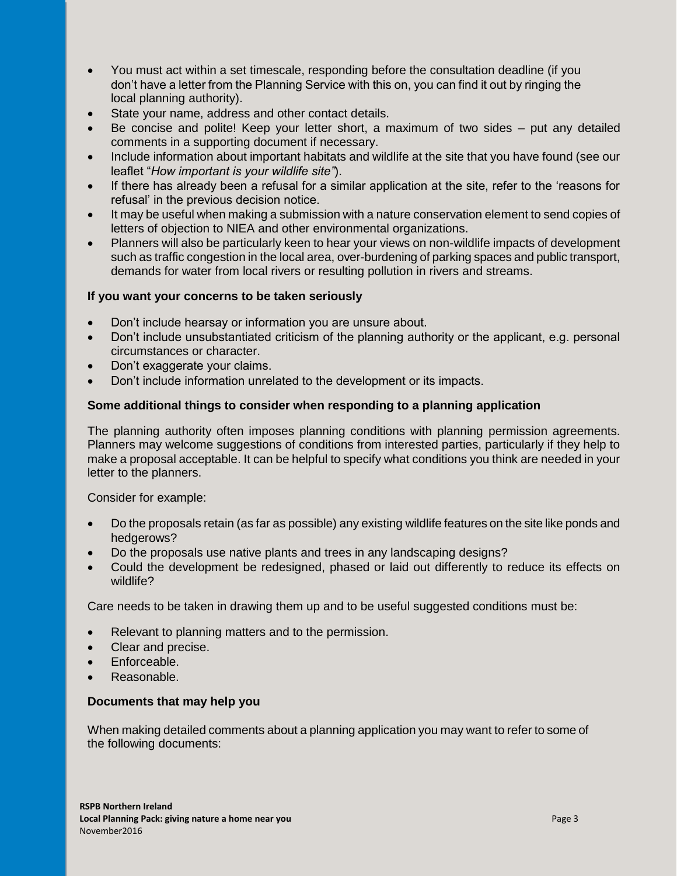- You must act within a set timescale, responding before the consultation deadline (if you don't have a letter from the Planning Service with this on, you can find it out by ringing the local planning authority).
- State your name, address and other contact details.
- Be concise and polite! Keep your letter short, a maximum of two sides put any detailed comments in a supporting document if necessary.
- Include information about important habitats and wildlife at the site that you have found (see our leaflet "*How important is your wildlife site"*).
- If there has already been a refusal for a similar application at the site, refer to the 'reasons for refusal' in the previous decision notice.
- It may be useful when making a submission with a nature conservation element to send copies of letters of objection to NIEA and other environmental organizations.
- Planners will also be particularly keen to hear your views on non-wildlife impacts of development such as traffic congestion in the local area, over-burdening of parking spaces and public transport, demands for water from local rivers or resulting pollution in rivers and streams.

# **If you want your concerns to be taken seriously**

- Don't include hearsay or information you are unsure about.
- Don't include unsubstantiated criticism of the planning authority or the applicant, e.g. personal circumstances or character.
- Don't exaggerate your claims.
- Don't include information unrelated to the development or its impacts.

# **Some additional things to consider when responding to a planning application**

The planning authority often imposes planning conditions with planning permission agreements. Planners may welcome suggestions of conditions from interested parties, particularly if they help to make a proposal acceptable. It can be helpful to specify what conditions you think are needed in your letter to the planners.

Consider for example:

- Do the proposals retain (as far as possible) any existing wildlife features on the site like ponds and hedgerows?
- Do the proposals use native plants and trees in any landscaping designs?
- Could the development be redesigned, phased or laid out differently to reduce its effects on wildlife?

Care needs to be taken in drawing them up and to be useful suggested conditions must be:

- Relevant to planning matters and to the permission.
- Clear and precise.
- Enforceable.
- Reasonable.

# **Documents that may help you**

When making detailed comments about a planning application you may want to refer to some of the following documents: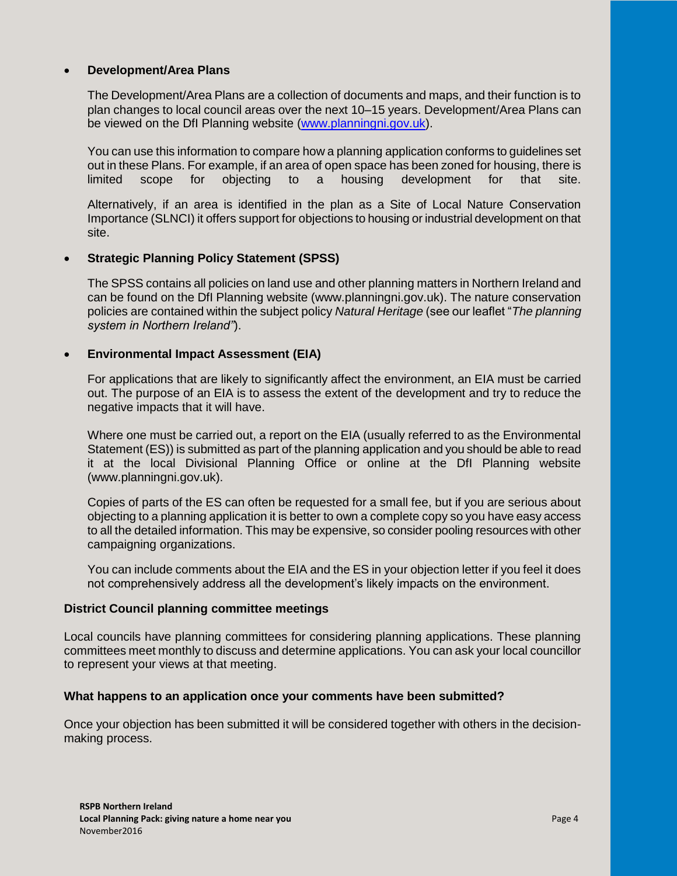#### **Development/Area Plans**

The Development/Area Plans are a collection of documents and maps, and their function is to plan changes to local council areas over the next 10–15 years. Development/Area Plans can be viewed on the DfI Planning website [\(www.planningni.gov.uk\)](http://www.planningni.gov.uk/).

You can use this information to compare how a planning application conforms to guidelines set out in these Plans. For example, if an area of open space has been zoned for housing, there is limited scope for objecting to a housing development for that site.

Alternatively, if an area is identified in the plan as a Site of Local Nature Conservation Importance (SLNCI) it offers support for objections to housing or industrial development on that site.

#### **Strategic Planning Policy Statement (SPSS)**

The SPSS contains all policies on land use and other planning matters in Northern Ireland and can be found on the DfI Planning website (www.planningni.gov.uk). The nature conservation policies are contained within the subject policy *Natural Heritage* (see our leaflet "*The planning system in Northern Ireland"*).

#### **Environmental Impact Assessment (EIA)**

For applications that are likely to significantly affect the environment, an EIA must be carried out. The purpose of an EIA is to assess the extent of the development and try to reduce the negative impacts that it will have.

Where one must be carried out, a report on the EIA (usually referred to as the Environmental Statement (ES)) is submitted as part of the planning application and you should be able to read it at the local Divisional Planning Office or online at the DfI Planning website (www.planningni.gov.uk).

Copies of parts of the ES can often be requested for a small fee, but if you are serious about objecting to a planning application it is better to own a complete copy so you have easy access to all the detailed information. This may be expensive, so consider pooling resources with other campaigning organizations.

You can include comments about the EIA and the ES in your objection letter if you feel it does not comprehensively address all the development's likely impacts on the environment.

#### **District Council planning committee meetings**

Local councils have planning committees for considering planning applications. These planning committees meet monthly to discuss and determine applications. You can ask your local councillor to represent your views at that meeting.

#### **What happens to an application once your comments have been submitted?**

Once your objection has been submitted it will be considered together with others in the decisionmaking process.